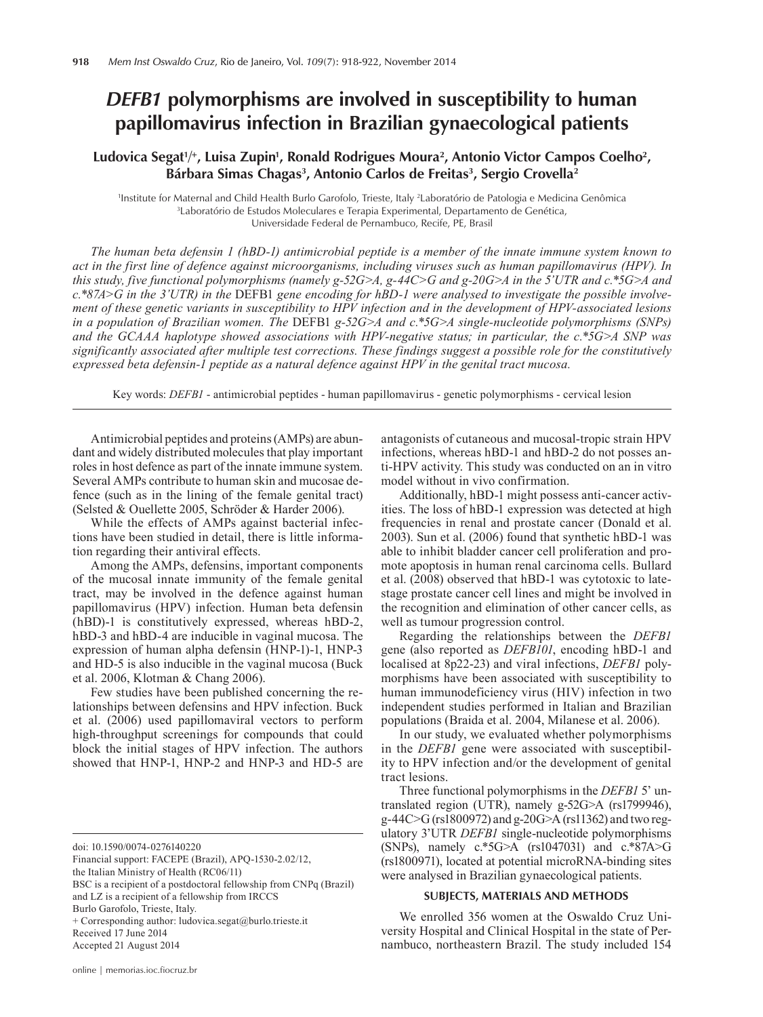# *DEFB1* **polymorphisms are involved in susceptibility to human papillomavirus infection in Brazilian gynaecological patients**

# Ludovica Segat<sup>1/+</sup>, Luisa Zupin<sup>1</sup>, Ronald Rodrigues Moura<sup>2</sup>, Antonio Victor Campos Coelho<sup>2</sup>, Bárbara Simas Chagas<sup>3</sup>, Antonio Carlos de Freitas<sup>3</sup>, Sergio Crovella<sup>2</sup>

1 Institute for Maternal and Child Health Burlo Garofolo, Trieste, Italy 2 Laboratório de Patologia e Medicina Genômica 3 <sup>3</sup>Laboratório de Estudos Moleculares e Terapia Experimental, Departamento de Genética, Universidade Federal de Pernambuco, Recife, PE, Brasil

*The human beta defensin 1 (hBD-1) antimicrobial peptide is a member of the innate immune system known to act in the first line of defence against microorganisms, including viruses such as human papillomavirus (HPV). In this study, five functional polymorphisms (namely g-52G>A, g-44C>G and g-20G>A in the 5'UTR and c.\*5G>A and c.\*87A>G in the 3'UTR) in the* DEFB1 *gene encoding for hBD-1 were analysed to investigate the possible involvement of these genetic variants in susceptibility to HPV infection and in the development of HPV-associated lesions in a population of Brazilian women. The* DEFB1 *g-52G>A and c.\*5G>A single-nucleotide polymorphisms (SNPs) and the GCAAA haplotype showed associations with HPV-negative status; in particular, the c.\*5G>A SNP was significantly associated after multiple test corrections. These findings suggest a possible role for the constitutively expressed beta defensin-1 peptide as a natural defence against HPV in the genital tract mucosa.*

Key words: *DEFB1* - antimicrobial peptides - human papillomavirus - genetic polymorphisms - cervical lesion

Antimicrobial peptides and proteins (AMPs) are abundant and widely distributed molecules that play important roles in host defence as part of the innate immune system. Several AMPs contribute to human skin and mucosae defence (such as in the lining of the female genital tract) (Selsted & Ouellette 2005, Schröder & Harder 2006).

While the effects of AMPs against bacterial infections have been studied in detail, there is little information regarding their antiviral effects.

Among the AMPs, defensins, important components of the mucosal innate immunity of the female genital tract, may be involved in the defence against human papillomavirus (HPV) infection. Human beta defensin (hBD)-1 is constitutively expressed, whereas hBD-2, hBD-3 and hBD-4 are inducible in vaginal mucosa. The expression of human alpha defensin (HNP-1)-1, HNP-3 and HD-5 is also inducible in the vaginal mucosa (Buck et al. 2006, Klotman & Chang 2006).

Few studies have been published concerning the relationships between defensins and HPV infection. Buck et al. (2006) used papillomaviral vectors to perform high-throughput screenings for compounds that could block the initial stages of HPV infection. The authors showed that HNP-1, HNP-2 and HNP-3 and HD-5 are

Accepted 21 August 2014

antagonists of cutaneous and mucosal-tropic strain HPV infections, whereas hBD-1 and hBD-2 do not posses anti-HPV activity. This study was conducted on an in vitro model without in vivo confirmation.

Additionally, hBD-1 might possess anti-cancer activities. The loss of hBD-1 expression was detected at high frequencies in renal and prostate cancer (Donald et al. 2003). Sun et al. (2006) found that synthetic hBD-1 was able to inhibit bladder cancer cell proliferation and promote apoptosis in human renal carcinoma cells. Bullard et al. (2008) observed that hBD-1 was cytotoxic to latestage prostate cancer cell lines and might be involved in the recognition and elimination of other cancer cells, as well as tumour progression control.

Regarding the relationships between the *DEFB1* gene (also reported as *DEFB101*, encoding hBD-1 and localised at 8p22-23) and viral infections, *DEFB1* polymorphisms have been associated with susceptibility to human immunodeficiency virus (HIV) infection in two independent studies performed in Italian and Brazilian populations (Braida et al. 2004, Milanese et al. 2006).

In our study, we evaluated whether polymorphisms in the *DEFB1* gene were associated with susceptibility to HPV infection and/or the development of genital tract lesions.

Three functional polymorphisms in the *DEFB1* 5' untranslated region (UTR), namely g-52G>A (rs1799946), g-44C>G (rs1800972) and g-20G>A (rs11362) and two regulatory 3'UTR *DEFB1* single-nucleotide polymorphisms (SNPs), namely c.\*5G>A (rs1047031) and c.\*87A>G (rs1800971), located at potential microRNA-binding sites were analysed in Brazilian gynaecological patients.

# **SUBJECTS, MATERIALS AND METHODS**

We enrolled 356 women at the Oswaldo Cruz University Hospital and Clinical Hospital in the state of Pernambuco, northeastern Brazil. The study included 154

doi: 10.1590/0074-0276140220

Financial support: FACEPE (Brazil), APQ-1530-2.02/12, the Italian Ministry of Health (RC06/11) BSC is a recipient of a postdoctoral fellowship from CNPq (Brazil) and LZ is a recipient of a fellowship from IRCCS Burlo Garofolo, Trieste, Italy. + Corresponding author: ludovica.segat@burlo.trieste.it Received 17 June 2014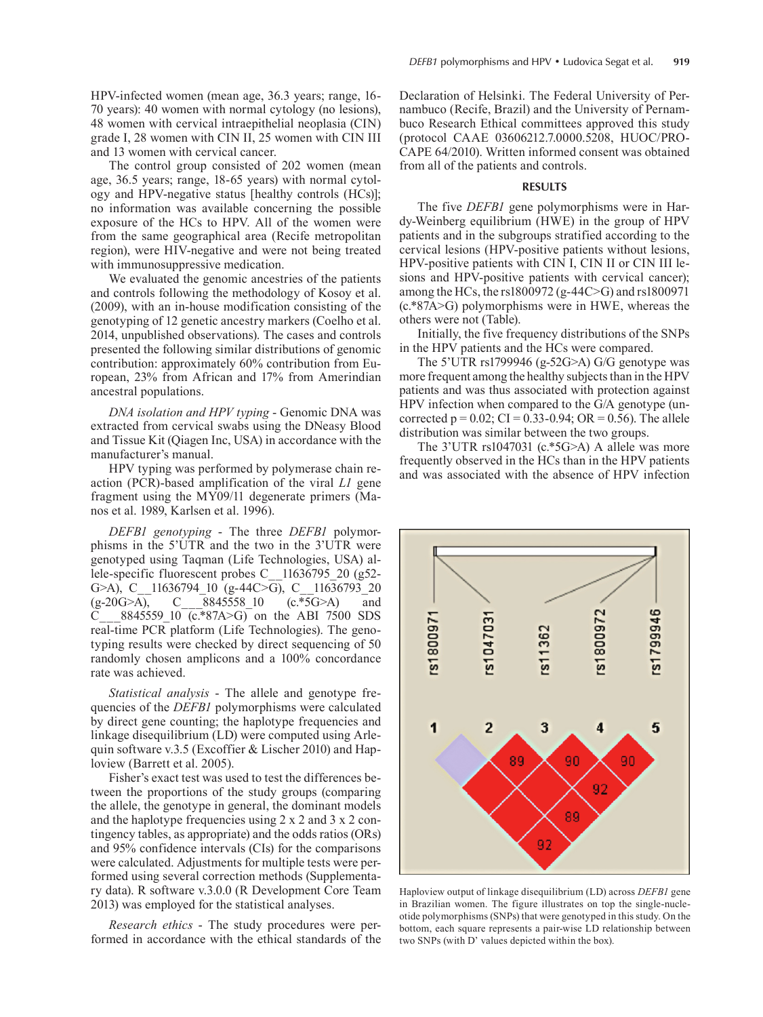HPV-infected women (mean age, 36.3 years; range, 16- 70 years): 40 women with normal cytology (no lesions), 48 women with cervical intraepithelial neoplasia (CIN) grade I, 28 women with CIN II, 25 women with CIN III and 13 women with cervical cancer.

The control group consisted of 202 women (mean age, 36.5 years; range, 18-65 years) with normal cytology and HPV-negative status [healthy controls (HCs)]; no information was available concerning the possible exposure of the HCs to HPV. All of the women were from the same geographical area (Recife metropolitan region), were HIV-negative and were not being treated with immunosuppressive medication.

We evaluated the genomic ancestries of the patients and controls following the methodology of Kosoy et al. (2009), with an in-house modification consisting of the genotyping of 12 genetic ancestry markers (Coelho et al. 2014, unpublished observations). The cases and controls presented the following similar distributions of genomic contribution: approximately 60% contribution from European, 23% from African and 17% from Amerindian ancestral populations.

*DNA isolation and HPV typing* - Genomic DNA was extracted from cervical swabs using the DNeasy Blood and Tissue Kit (Qiagen Inc, USA) in accordance with the manufacturer's manual.

HPV typing was performed by polymerase chain reaction (PCR)-based amplification of the viral *L1* gene fragment using the MY09/11 degenerate primers (Manos et al. 1989, Karlsen et al. 1996).

*DEFB1 genotyping* - The three *DEFB1* polymorphisms in the 5'UTR and the two in the 3'UTR were genotyped using Taqman (Life Technologies, USA) allele-specific fluorescent probes C 11636795 20 (g52-G>A), C\_11636794\_10 (g-44C>G), C\_11636793\_20<br>(g-20G>A), C\_8845558\_10 (c.\*5G>A) and  $(g-20G>A)$ , C  $\overline{8845558}$  10 (c.\*5G>A) and C\_\_\_8845559\_10 (c.\*87A>G) on the ABI 7500 SDS real-time PCR platform (Life Technologies). The genotyping results were checked by direct sequencing of 50 randomly chosen amplicons and a 100% concordance rate was achieved.

*Statistical analysis* - The allele and genotype frequencies of the *DEFB1* polymorphisms were calculated by direct gene counting; the haplotype frequencies and linkage disequilibrium (LD) were computed using Arlequin software v.3.5 (Excoffier & Lischer 2010) and Haploview (Barrett et al. 2005).

Fisher's exact test was used to test the differences between the proportions of the study groups (comparing the allele, the genotype in general, the dominant models and the haplotype frequencies using 2 x 2 and 3 x 2 contingency tables, as appropriate) and the odds ratios (ORs) and 95% confidence intervals (CIs) for the comparisons were calculated. Adjustments for multiple tests were performed using several correction methods (Supplementary data). R software v.3.0.0 (R Development Core Team 2013) was employed for the statistical analyses.

*Research ethics* - The study procedures were performed in accordance with the ethical standards of the Declaration of Helsinki. The Federal University of Pernambuco (Recife, Brazil) and the University of Pernambuco Research Ethical committees approved this study (protocol CAAE 03606212.7.0000.5208, HUOC/PRO-CAPE 64/2010). Written informed consent was obtained from all of the patients and controls.

#### **RESULTS**

The five *DEFB1* gene polymorphisms were in Hardy-Weinberg equilibrium (HWE) in the group of HPV patients and in the subgroups stratified according to the cervical lesions (HPV-positive patients without lesions, HPV-positive patients with CIN I, CIN II or CIN III lesions and HPV-positive patients with cervical cancer); among the HCs, the rs1800972 (g-44C>G) and rs1800971 (c.\*87A>G) polymorphisms were in HWE, whereas the others were not (Table).

Initially, the five frequency distributions of the SNPs in the HPV patients and the HCs were compared.

The 5'UTR rs1799946 (g-52G>A) G/G genotype was more frequent among the healthy subjects than in the HPV patients and was thus associated with protection against HPV infection when compared to the G/A genotype (uncorrected  $p = 0.02$ ; CI = 0.33-0.94; OR = 0.56). The allele distribution was similar between the two groups.

The 3'UTR rs1047031 (c.\*5G>A) A allele was more frequently observed in the HCs than in the HPV patients and was associated with the absence of HPV infection



Haploview output of linkage disequilibrium (LD) across *DEFB1* gene in Brazilian women. The figure illustrates on top the single-nucleotide polymorphisms (SNPs) that were genotyped in this study. On the bottom, each square represents a pair-wise LD relationship between two SNPs (with D' values depicted within the box).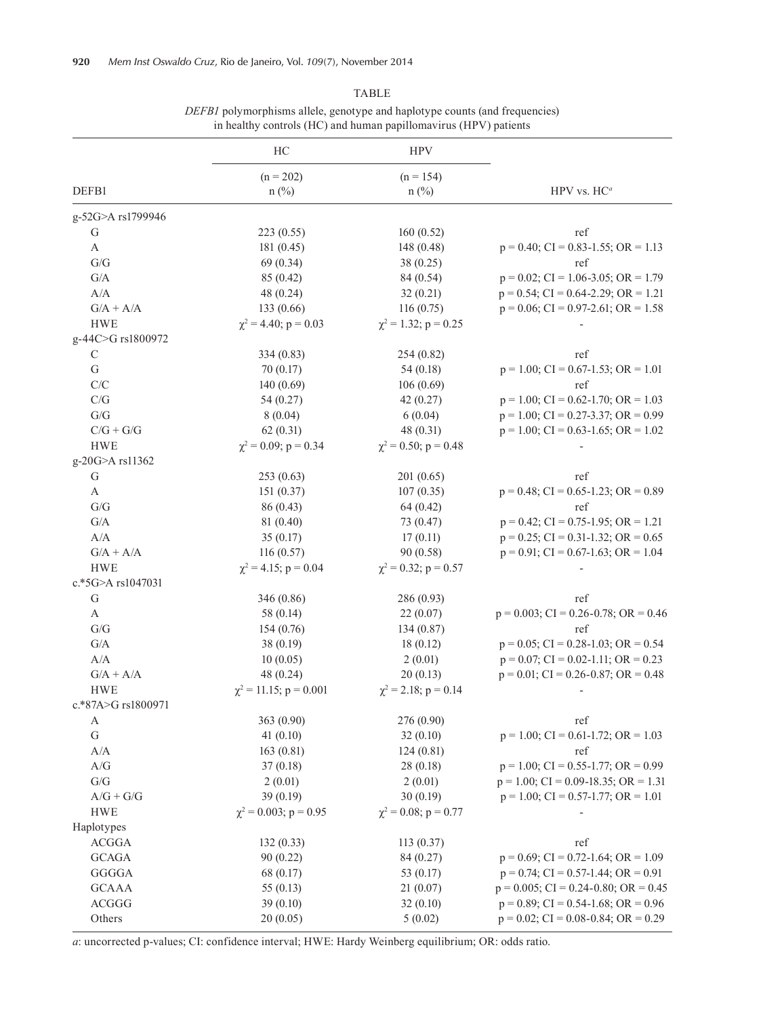|                                                     | HC                           | <b>HPV</b>                 |                                               |  |  |
|-----------------------------------------------------|------------------------------|----------------------------|-----------------------------------------------|--|--|
|                                                     | $(n = 202)$                  | $(n = 154)$                | HPV vs. $HC^a$                                |  |  |
| DEFB1                                               | $n$ (%)                      | $n$ (%)                    |                                               |  |  |
|                                                     |                              |                            |                                               |  |  |
| g-52G>A rs1799946                                   |                              |                            | ref                                           |  |  |
| G                                                   | 223 (0.55)                   | 160(0.52)                  | $p = 0.40$ ; CI = 0.83-1.55; OR = 1.13        |  |  |
| A                                                   | 181 (0.45)                   | 148 (0.48)                 |                                               |  |  |
| ${\rm G/G}$                                         | 69 (0.34)                    | 38 (0.25)                  | ref                                           |  |  |
| $\mathrm{G}/\mathrm{A}$                             | 85 (0.42)                    | 84 (0.54)                  | $p = 0.02$ ; CI = 1.06-3.05; OR = 1.79        |  |  |
| $\rm A/A$                                           | 48 (0.24)                    | 32(0.21)                   | $p = 0.54$ ; CI = 0.64-2.29; OR = 1.21        |  |  |
| $G/A + A/A$                                         | 133 (0.66)                   | 116(0.75)                  | $p = 0.06$ ; CI = 0.97-2.61; OR = 1.58        |  |  |
| <b>HWE</b>                                          | $\chi^2$ = 4.40; p = 0.03    | $\chi^2$ = 1.32; p = 0.25  |                                               |  |  |
| g-44C>G rs1800972                                   |                              |                            |                                               |  |  |
| $\mathsf C$                                         | 334 (0.83)                   | 254 (0.82)                 | ref                                           |  |  |
| ${\bf G}$                                           | 70(0.17)                     | 54(0.18)                   | $p = 1.00$ ; CI = 0.67-1.53; OR = 1.01        |  |  |
| C/C                                                 | 140(0.69)                    | 106(0.69)                  | ref                                           |  |  |
| $\mathrm{C/G}$                                      | 54(0.27)                     | 42(0.27)                   | $p = 1.00$ ; CI = 0.62-1.70; OR = 1.03        |  |  |
| G/G                                                 | 8(0.04)                      | 6(0.04)                    | $p = 1.00$ ; CI = 0.27-3.37; OR = 0.99        |  |  |
| $C/G + G/G$                                         | 62(0.31)                     | 48 (0.31)                  | $p = 1.00$ ; CI = 0.63-1.65; OR = 1.02        |  |  |
| <b>HWE</b>                                          | $\gamma^2 = 0.09$ ; p = 0.34 | $\chi^2 = 0.50$ ; p = 0.48 |                                               |  |  |
| g-20G>A rs11362                                     |                              |                            |                                               |  |  |
| ${\bf G}$                                           | 253(0.63)                    | 201(0.65)                  | ref                                           |  |  |
| $\mathbf{A}$                                        | 151(0.37)                    | 107(0.35)                  | $p = 0.48$ ; CI = 0.65-1.23; OR = 0.89        |  |  |
| ${\rm G/G}$                                         | 86 (0.43)                    | 64(0.42)                   | ref                                           |  |  |
| $\mathrm{G}/\mathrm{A}$                             | 81 (0.40)                    | 73 (0.47)                  | $p = 0.42$ ; CI = 0.75-1.95; OR = 1.21        |  |  |
| A/A                                                 | 35(0.17)                     | 17(0.11)                   | $p = 0.25$ ; CI = 0.31-1.32; OR = 0.65        |  |  |
| $G/A + A/A$                                         | 116(0.57)                    | 90 (0.58)                  | $p = 0.91$ ; CI = 0.67-1.63; OR = 1.04        |  |  |
| <b>HWE</b>                                          | $\chi^2$ = 4.15; p = 0.04    | $\chi^2$ = 0.32; p = 0.57  |                                               |  |  |
| c.*5G>A rs1047031                                   |                              |                            |                                               |  |  |
| ${\bf G}$                                           | 346 (0.86)                   | 286 (0.93)                 | ref                                           |  |  |
| $\mathbf{A}$                                        | 58 (0.14)                    | 22(0.07)                   | $p = 0.003$ ; CI = 0.26-0.78; OR = 0.46       |  |  |
| ${\mathrm G}/{\mathrm G}$                           | 154(0.76)                    | 134(0.87)                  | ref                                           |  |  |
| $\mathrm{G}/\mathrm{A}$                             | 38(0.19)                     | 18(0.12)                   | $p = 0.05$ ; CI = 0.28-1.03; OR = 0.54        |  |  |
| A/A                                                 | 10(0.05)                     | 2(0.01)                    | $p = 0.07$ ; CI = 0.02-1.11; OR = 0.23        |  |  |
| $G/A + A/A$                                         | 48 (0.24)                    | 20(0.13)                   | $p = 0.01$ ; CI = 0.26-0.87; OR = 0.48        |  |  |
| <b>HWE</b>                                          | $\chi^2$ = 11.15; p = 0.001  | $\chi^2$ = 2.18; p = 0.14  |                                               |  |  |
| c.*87A>G rs1800971                                  |                              |                            |                                               |  |  |
|                                                     |                              | 276 (0.90)                 | ref                                           |  |  |
| A<br>${\bf G}$                                      | 363 (0.90)                   |                            |                                               |  |  |
|                                                     | 41(0.10)                     | 32(0.10)                   | $p = 1.00$ ; CI = 0.61-1.72; OR = 1.03<br>ref |  |  |
| A/A                                                 | 163(0.81)                    | 124(0.81)                  |                                               |  |  |
| $\ensuremath{\mathcal{A}}/\ensuremath{\mathcal{G}}$ | 37(0.18)                     | 28(0.18)                   | $p = 1.00$ ; CI = 0.55-1.77; OR = 0.99        |  |  |
| G/G                                                 | 2(0.01)                      | 2(0.01)                    | $p = 1.00$ ; CI = 0.09-18.35; OR = 1.31       |  |  |
| $A/G + G/G$                                         | 39 (0.19)                    | 30(0.19)                   | $p = 1.00$ ; CI = 0.57-1.77; OR = 1.01        |  |  |
| <b>HWE</b>                                          | $\chi^2$ = 0.003; p = 0.95   | $\chi^2$ = 0.08; p = 0.77  |                                               |  |  |
| Haplotypes                                          |                              |                            |                                               |  |  |
| <b>ACGGA</b>                                        | 132(0.33)                    | 113(0.37)                  | ref                                           |  |  |
| $\mathsf{GCAGA}$                                    | 90(0.22)                     | 84 (0.27)                  | $p = 0.69$ ; CI = 0.72-1.64; OR = 1.09        |  |  |
| GGGGA                                               | 68 (0.17)                    | 53 (0.17)                  | $p = 0.74$ ; CI = 0.57-1.44; OR = 0.91        |  |  |
| <b>GCAAA</b>                                        | 55 $(0.13)$                  | 21(0.07)                   | $p = 0.005$ ; CI = 0.24-0.80; OR = 0.45       |  |  |
| <b>ACGGG</b>                                        | 39(0.10)                     | 32(0.10)                   | $p = 0.89$ ; CI = 0.54-1.68; OR = 0.96        |  |  |
| Others                                              | 20(0.05)                     | 5(0.02)                    | $p = 0.02$ ; CI = 0.08-0.84; OR = 0.29        |  |  |

TABLE *DEFB1* polymorphisms allele, genotype and haplotype counts (and frequencies) in healthy controls (HC) and human papillomavirus (HPV) patients

*a*: uncorrected p-values; CI: confidence interval; HWE: Hardy Weinberg equilibrium; OR: odds ratio.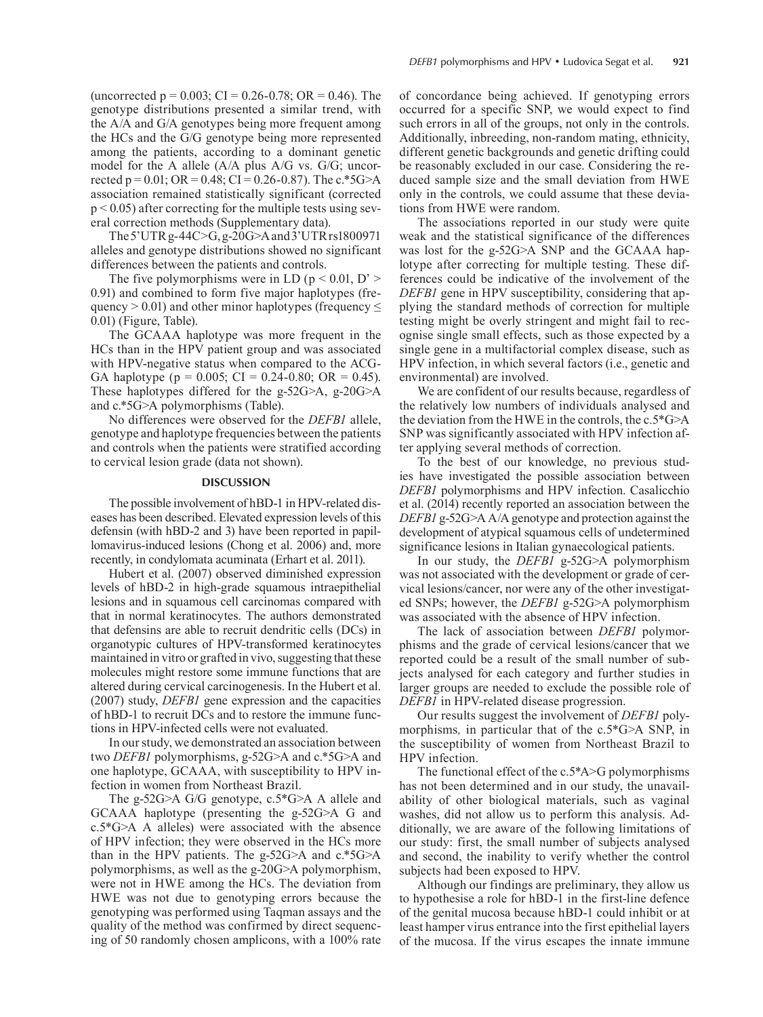(uncorrected  $p = 0.003$ ; CI = 0.26-0.78; OR = 0.46). The genotype distributions presented a similar trend, with the A/A and G/A genotypes being more frequent among the HCs and the G/G genotype being more represented among the patients, according to a dominant genetic model for the A allele (A/A plus A/G vs. G/G; uncorrected p =  $0.01$ ; OR =  $0.48$ ; CI =  $0.26 - 0.87$ ). The c.\*5G>A association remained statistically significant (corrected  $p < 0.05$ ) after correcting for the multiple tests using several correction methods (Supplementary data).

The 5'UTR g-44C>G, g-20G>A and 3'UTR rs1800971 alleles and genotype distributions showed no significant differences between the patients and controls.

The five polymorphisms were in LD ( $p < 0.01$ , D' > 0.91) and combined to form five major haplotypes (frequency  $> 0.01$ ) and other minor haplotypes (frequency  $\leq$ 0.01) (Figure, Table).

The GCAAA haplotype was more frequent in the HCs than in the HPV patient group and was associated with HPV-negative status when compared to the ACG-GA haplotype ( $p = 0.005$ ; CI = 0.24-0.80; OR = 0.45). These haplotypes differed for the g-52G>A, g-20G>A and c.\*5G>A polymorphisms (Table).

No differences were observed for the *DEFB1* allele, genotype and haplotype frequencies between the patients and controls when the patients were stratified according to cervical lesion grade (data not shown).

# **DISCUSSION**

The possible involvement of hBD-1 in HPV-related diseases has been described. Elevated expression levels of this defensin (with hBD-2 and 3) have been reported in papillomavirus-induced lesions (Chong et al. 2006) and, more recently, in condylomata acuminata (Erhart et al. 2011).

Hubert et al. (2007) observed diminished expression levels of hBD-2 in high-grade squamous intraepithelial lesions and in squamous cell carcinomas compared with that in normal keratinocytes. The authors demonstrated that defensins are able to recruit dendritic cells (DCs) in organotypic cultures of HPV-transformed keratinocytes maintained in vitro or grafted in vivo, suggesting that these molecules might restore some immune functions that are altered during cervical carcinogenesis. In the Hubert et al. (2007) study, *DEFB1* gene expression and the capacities of hBD-1 to recruit DCs and to restore the immune functions in HPV-infected cells were not evaluated.

In our study, we demonstrated an association between two *DEFB1* polymorphisms, g-52G>A and c.\*5G>A and one haplotype, GCAAA, with susceptibility to HPV infection in women from Northeast Brazil.

The g-52G>A G/G genotype, c.5\*G>A A allele and GCAAA haplotype (presenting the g-52G>A G and c.5\*G>A A alleles) were associated with the absence of HPV infection; they were observed in the HCs more than in the HPV patients. The g-52G>A and c.\*5G>A polymorphisms, as well as the g-20G>A polymorphism, were not in HWE among the HCs. The deviation from HWE was not due to genotyping errors because the genotyping was performed using Taqman assays and the quality of the method was confirmed by direct sequencing of 50 randomly chosen amplicons, with a 100% rate of concordance being achieved. If genotyping errors occurred for a specific SNP, we would expect to find such errors in all of the groups, not only in the controls. Additionally, inbreeding, non-random mating, ethnicity, different genetic backgrounds and genetic drifting could be reasonably excluded in our case. Considering the reduced sample size and the small deviation from HWE only in the controls, we could assume that these deviations from HWE were random.

The associations reported in our study were quite weak and the statistical significance of the differences was lost for the g-52G>A SNP and the GCAAA haplotype after correcting for multiple testing. These differences could be indicative of the involvement of the *DEFB1* gene in HPV susceptibility, considering that applying the standard methods of correction for multiple testing might be overly stringent and might fail to recognise single small effects, such as those expected by a single gene in a multifactorial complex disease, such as HPV infection, in which several factors (i.e., genetic and environmental) are involved.

We are confident of our results because, regardless of the relatively low numbers of individuals analysed and the deviation from the HWE in the controls, the c.5\*G>A SNP was significantly associated with HPV infection after applying several methods of correction.

To the best of our knowledge, no previous studies have investigated the possible association between *DEFB1* polymorphisms and HPV infection. Casalicchio et al. (2014) recently reported an association between the *DEFB1* g-52G>A A/A genotype and protection against the development of atypical squamous cells of undetermined significance lesions in Italian gynaecological patients.

In our study, the *DEFB1* g-52G>A polymorphism was not associated with the development or grade of cervical lesions/cancer, nor were any of the other investigated SNPs; however, the *DEFB1* g-52G>A polymorphism was associated with the absence of HPV infection.

The lack of association between *DEFB1* polymorphisms and the grade of cervical lesions/cancer that we reported could be a result of the small number of subjects analysed for each category and further studies in larger groups are needed to exclude the possible role of *DEFB1* in HPV-related disease progression.

Our results suggest the involvement of *DEFB1* polymorphisms*,* in particular that of the c.5\*G>A SNP, in the susceptibility of women from Northeast Brazil to HPV infection.

The functional effect of the c.5\*A>G polymorphisms has not been determined and in our study, the unavailability of other biological materials, such as vaginal washes, did not allow us to perform this analysis. Additionally, we are aware of the following limitations of our study: first, the small number of subjects analysed and second, the inability to verify whether the control subjects had been exposed to HPV.

Although our findings are preliminary, they allow us to hypothesise a role for hBD-1 in the first-line defence of the genital mucosa because hBD-1 could inhibit or at least hamper virus entrance into the first epithelial layers of the mucosa. If the virus escapes the innate immune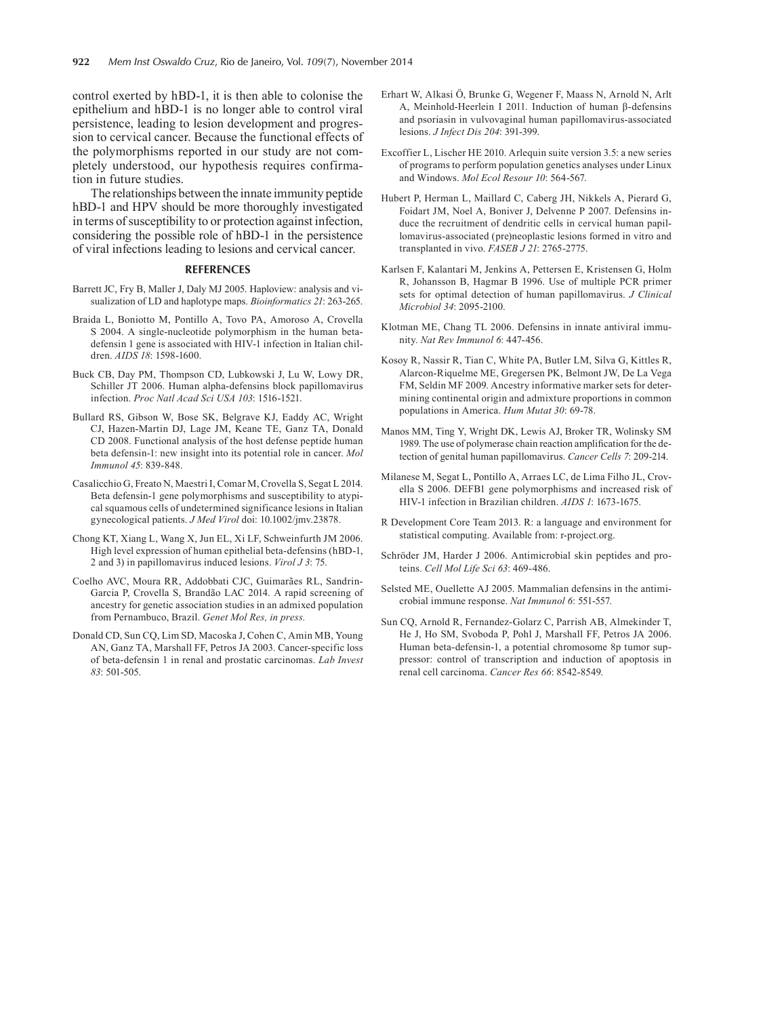control exerted by hBD-1, it is then able to colonise the epithelium and hBD-1 is no longer able to control viral persistence, leading to lesion development and progression to cervical cancer. Because the functional effects of the polymorphisms reported in our study are not completely understood, our hypothesis requires confirmation in future studies.

The relationships between the innate immunity peptide hBD-1 and HPV should be more thoroughly investigated in terms of susceptibility to or protection against infection, considering the possible role of hBD-1 in the persistence of viral infections leading to lesions and cervical cancer.

# **REFERENCES**

- Barrett JC, Fry B, Maller J, Daly MJ 2005. Haploview: analysis and visualization of LD and haplotype maps. *Bioinformatics 21*: 263-265.
- Braida L, Boniotto M, Pontillo A, Tovo PA, Amoroso A, Crovella S 2004. A single-nucleotide polymorphism in the human betadefensin 1 gene is associated with HIV-1 infection in Italian children. *AIDS 18*: 1598-1600.
- Buck CB, Day PM, Thompson CD, Lubkowski J, Lu W, Lowy DR, Schiller JT 2006. Human alpha-defensins block papillomavirus infection. *Proc Natl Acad Sci USA 103*: 1516-1521.
- Bullard RS, Gibson W, Bose SK, Belgrave KJ, Eaddy AC, Wright CJ, Hazen-Martin DJ, Lage JM, Keane TE, Ganz TA, Donald CD 2008. Functional analysis of the host defense peptide human beta defensin-1: new insight into its potential role in cancer. *Mol Immunol 45*: 839-848.
- Casalicchio G, Freato N, Maestri I, Comar M, Crovella S, Segat L 2014. Beta defensin-1 gene polymorphisms and susceptibility to atypical squamous cells of undetermined significance lesions in Italian gynecological patients. *J Med Virol* doi: 10.1002/jmv.23878.
- Chong KT, Xiang L, Wang X, Jun EL, Xi LF, Schweinfurth JM 2006. High level expression of human epithelial beta-defensins (hBD-1, 2 and 3) in papillomavirus induced lesions. *Virol J 3*: 75.
- Coelho AVC, Moura RR, Addobbati CJC, Guimarães RL, Sandrin-Garcia P, Crovella S, Brandão LAC 2014. A rapid screening of ancestry for genetic association studies in an admixed population from Pernambuco, Brazil. *Genet Mol Res, in press.*
- Donald CD, Sun CQ, Lim SD, Macoska J, Cohen C, Amin MB, Young AN, Ganz TA, Marshall FF, Petros JA 2003. Cancer-specific loss of beta-defensin 1 in renal and prostatic carcinomas. *Lab Invest 83*: 501-505.
- Erhart W, Alkasi Ö, Brunke G, Wegener F, Maass N, Arnold N, Arlt A, Meinhold-Heerlein I 2011. Induction of human β-defensins and psoriasin in vulvovaginal human papillomavirus-associated lesions. *J Infect Dis 204*: 391-399.
- Excoffier L, Lischer HE 2010. Arlequin suite version 3.5: a new series of programs to perform population genetics analyses under Linux and Windows. *Mol Ecol Resour 10*: 564-567.
- Hubert P, Herman L, Maillard C, Caberg JH, Nikkels A, Pierard G, Foidart JM, Noel A, Boniver J, Delvenne P 2007. Defensins induce the recruitment of dendritic cells in cervical human papillomavirus-associated (pre)neoplastic lesions formed in vitro and transplanted in vivo. *FASEB J 21*: 2765-2775.
- Karlsen F, Kalantari M, Jenkins A, Pettersen E, Kristensen G, Holm R, Johansson B, Hagmar B 1996. Use of multiple PCR primer sets for optimal detection of human papillomavirus. *J Clinical Microbiol 34*: 2095-2100.
- Klotman ME, Chang TL 2006. Defensins in innate antiviral immunity. *Nat Rev Immunol 6*: 447-456.
- Kosoy R, Nassir R, Tian C, White PA, Butler LM, Silva G, Kittles R, Alarcon-Riquelme ME, Gregersen PK, Belmont JW, De La Vega FM, Seldin MF 2009. Ancestry informative marker sets for determining continental origin and admixture proportions in common populations in America. *Hum Mutat 30*: 69-78.
- Manos MM, Ting Y, Wright DK, Lewis AJ, Broker TR, Wolinsky SM 1989. The use of polymerase chain reaction amplification for the detection of genital human papillomavirus. *Cancer Cells 7*: 209-214.
- Milanese M, Segat L, Pontillo A, Arraes LC, de Lima Filho JL, Crovella S 2006. DEFB1 gene polymorphisms and increased risk of HIV-1 infection in Brazilian children. *AIDS 1*: 1673-1675.
- R Development Core Team 2013. R: a language and environment for statistical computing. Available from: r-project.org.
- Schröder JM, Harder J 2006. Antimicrobial skin peptides and proteins. *Cell Mol Life Sci 63*: 469-486.
- Selsted ME, Ouellette AJ 2005. Mammalian defensins in the antimicrobial immune response. *Nat Immunol 6*: 551-557.
- Sun CQ, Arnold R, Fernandez-Golarz C, Parrish AB, Almekinder T, He J, Ho SM, Svoboda P, Pohl J, Marshall FF, Petros JA 2006. Human beta-defensin-1, a potential chromosome 8p tumor suppressor: control of transcription and induction of apoptosis in renal cell carcinoma. *Cancer Res 66*: 8542-8549.